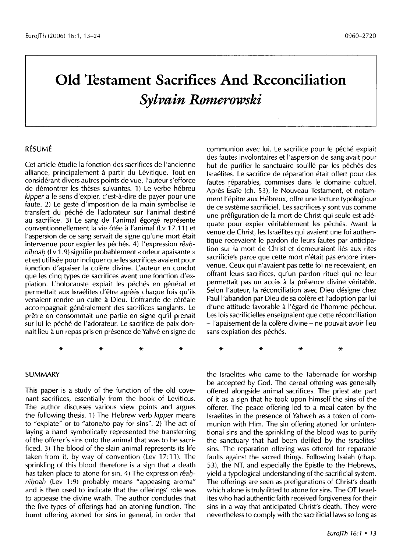# **Old Testament Sacrifices And Reconciliation**  *Sylvain Romerowski*

## RÉSUMÉ

Cet article etudie la fonction des sacrifices de l'ancienne alliance, principalement à partir du Lévitique. Tout en considerant divers autres points de vue, l'auteur s'efforce de démontrer les thèses suivantes. 1) Le verbe hébreu *kipper* a le sens d'expier, c'est-a-dire de payer pour une faute. 2) Le geste d'imposition de la main symbolise le transfert du péché de l'adorateur sur l'animal destiné au sacrifice. 3) Le sang de l'animal égorgé représente conventionnellement la vie ôtée à l'animal (Lv 17.11) et l'aspersion de ce sang servait de signe qu'une mort était intervenue pour expier les péchés. 4) L'expression rêahnîhoah (Lv 1.9) signifie probablement « odeur apaisante » et est utilisée pour indiquer que les sacrifices avaient pour fonction d'apaiser la colère divine. L'auteur en conclut que les cinq types de sacrifices avent une fonction d'expiation. L'holocauste expiait les péchés en général et permettait aux Israélites d'être agréés chaque fois qu'ils venaient rendre un culte à Dieu. L'offrande de céréale accompagnait généralement des sacrifices sanglants. Le pretre en consommait une partie en signe qu'il prenait sur lui le péché de l'adorateur. Le sacrifice de paix donnait lieu a un repas pris en presence de Yahve en signe de

communion avec lui. Le sacrifice pour le péché expiait des fautes involontaires et !'aspersion de sang avait pour but de purifier le sanctuaire souillé par les péchés des Israelites. Le sacrifice de reparation etait offert pour des fautes réparables, commises dans le domaine cultuel. Après Ésaïe (ch. 53), le Nouveau Testament, et notamment l'epitre aux Hebreux, offre une lecture typologique de ce systeme sacrificiel. Les sacrifices y sont vus comme une prefiguration de la mort de Christ qui seule est adequate pour expier véritablement les péchés. Avant la venue de Christ, les Israelites qui avaient une foi authentique recevaient le pardon de leurs fautes par anticipation sur la mort de Christ et demeuraient lies aux rites sacrificiels parce que cette mort n'était pas encore intervenue. Ceux qui n'avaient pas cette foi ne recevaient, en offrant leurs sacrifices, qu'un pardon rituel qui ne leur permettait pas un accès à la présence divine véritable. Selon l'auteur, la réconciliation avec Dieu désigne chez Paul l'abandon par Dieu de sa colère et l'adoption par lui d'une attitude favorable à l'égard de l'homme pécheur. Les lois sacrificielles enseignaient que cette réconciliation -l'apaisement de la colere divine- ne pouvait avoir lieu sans expiation des péchés.

#### SUMMARY

This paper is a study of the function of the old covenant sacrifices, essentially from the book of Leviticus. The author discusses various view points and argues the following thesis. 1) The Hebrew verb *kipper* means to "expiate" or to "atone/to pay for sins". 2) The act of laying a hand symbolically represented the transferring of the offerer's sins onto the animal that was to be sacrificed. 3) The blood of the slain animal represents its life taken from it, by way of convention (Lev  $17:11$ ). The sprinkling of this blood therefore is a sign that a death has taken place to atone for sin. 4) The expression reahníhoah (Lev 1:9) probably means "appeasing aroma" and is then used to indicate that the offerings' role was to appease the divine wrath. The author concludes that the five types of offerings had an atoning function. The burnt offering atoned for sins in general, in order that

\* \* \* \*

the Israelites who came to the Tabernacle for worship be accepted by Cod. The cereal offering was generally offered alongside animal sacrifices. The priest ate part of it as a sign that he took upon himself the sins of the offerer. The peace offering led to a meal eaten by the Israelites in the presence of Yahweh as a token of communion with Him. The sin offering atoned for unintentional sins and the sprinkling of the blood was to purify the sanctuary that had been defiled by the Israelites' sins. The reparation offering was offered for reparable faults against the sacred things. Following Isaiah (chap. 53), the NT, and especially the Epistle to the Hebrews, yield a typological understanding of the sacrificial system. The offerings are seen as prefigurations of Christ's death which alone is truly fitted to atone for sins. The OT Israelites who had authentic faith received forgiveness for their sins in a way that anticipated Christ's death. They were nevertheless to comply with the sacrificial laws so long as

\* \* \* \*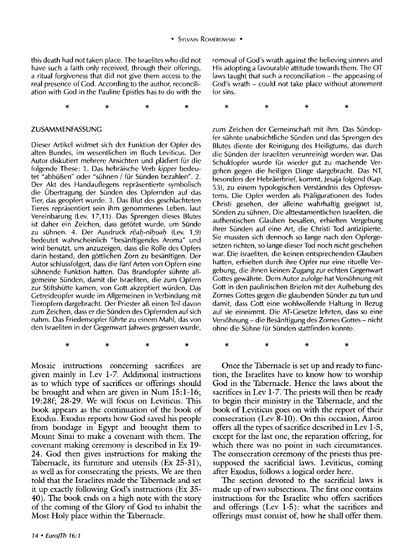this death had not taken place. The Israelites who did not have such a faith only received, through their offerings, a ritual forgiveness that did not give them access to the real presence of Cod. According to the author, reconciliation with Cod in the Pauline Epistles has to do with the

\* \* \* \*

#### ZUSAMMENFASSUNC

Dieser Artikel widmet sich der Funktion der Opfer des alten Bundes, im wesentlichen im Buch Leviticus. Der Autor diskutiert mehrere Ansichten und plädiert für die folgende These: 1. Das hebraische Verb *kipper* bedeutet "abbüßen" oder "sühnen / für Sünden bezahlen". 2. Der Akt des Handauflegens reprasentierte symbolisch die Obertragung der Sunden des Opfernden auf das Tier, das geopfert wurde. 3. Das Blut des geschlachteten Tieres reprasentiert sein ihm genommenes Leben, laut Vereinbarung (Lev. 17,11 ). Das Sprengen dieses Blutes ist daher ein Zeichen, dass getötet wurde, um Sünde zu sühnen. 4. Der Ausdruck rêah-nîhoah (Lev. 1,9) bedeutet wahrscheinlich "besanftigendes Aroma" und wird benutzt, um anzuzeigen, dass die Rolle des Opfers darin bestand, den gottlichen Zorn zu besanftigen. Der Autor schlussfolgert, dass die fünf Arten von Opfern eine suhnende Funktion hatten. Das Brandopfer suhnte allgemeine Sunden, damit die lsraeliten, die zum Opfern zur Stiftshütte kamen, von Gott akzeptiert würden. Das Cetreideopfer wurde im Allgemeinen in Verbindung mit Tieropfern dargebracht. Der Priester aS einen Teil davon zum Zeichen, dass er die Sünden des Opfernden auf sich nahm. Das Friedensopfer führte zu einem Mahl, das von den lsraeliten in der Cegenwart )ahwes gegessen wurde,

Mosaic instructions concerning sacrifices are given mainly in Lev 1-7. Additional instructions as to which type of sacrifices or offerings should be brought and when are given in Num 15:1-16; 19:28f; 28-29. We will focus on Leviticus. This book appears as the continuation of the book of Exodus. Exodus reports how God saved his people from bondage in Egypt and brought them to Mount Sinai to make a covenant with them. The covenant making ceremony is described in Ex 19- 24. God then gives instructions for making the Tabernacle, its furniture and utensils (Ex 25-31), as well as for consecrating the priests. We are then told that the Israelites made the Tabernacle and set it up exactly following God's instructions (Ex 35- 40). The book ends on a high note with the story of the coming of the Glory of God to inhabit the Most Holy place within the Tabernacle.

\* \* \* \*

removal of Cod's wrath against the believing sinners and His adopting a favourable attitude towards them. The OT laws taught that such a reconciliation – the appeasing of God's wrath - could not take place without atonement for sins.

\* \* \* \*

zum Zeichen der Gemeinschaft mit ihm. Das Sündopfer sühnte unabsichtliche Sünden und das Sprengen des Blutes diente der Reinigung des Heiligtums, das durch die Sünden der Israeliten verunreinigt worden war. Das Schuldopfer wurde für wieder gut zu machende Vergehen gegen die heiligen Dinge dargebracht. Das NT, besonders der Hebräerbrief, kommt, Jesaja folgend (Kap. 53), zu einem typologischen Verstandnis des Opfersystems. Die Opfer werden als Prafigurationen des Todes Christi gesehen, der alleine wahrhaftig geeignet ist, Sünden zu sühnen. Die alttestamentlichen Israeliten, die authentischen Clauben besaSen, erhielten Vergebung ihrer Sunden auf eine Art, die Christi Tod antizipierte. Sie mussten sich dennoch so lange nach den Opfergesetzen richten, so lange dieser Tod noch nicht geschehen war. Die lsraeliten, die keinen entsprechenden Clauben hatten, erhielten durch ihre Opfer nur eine rituelle Vergebung, die ihnen keinen Zugang zur echten Cegenwart Gottes gewährte. Dem Autor zufolge hat Versöhnung mit Cott in den paulinischen Briefen mit der Aufhebung des Zornes Gottes gegen die glaubenden Sünder zu tun und damit, dass Cott eine wohlwollende Haltung in Bezug auf sie einnimmt. Die AT-Cesetze lehrten, dass so eine Versöhnung – die Besänftigung des Zornes Gottes – nicht ohne die Sühne für Sünden stattfinden konnte.

Once the Tabernacle is set up and ready to function, the Israelites have to know how to worship God in the Tabernacle. Hence the laws about the sacrifices in Lev 1-7. The priests will then be ready to begin their ministry in the Tabernacle, and the book of Leviticus goes on with the report of their consecration (Lev 8-10). On this occasion, Aaron offers all the types of sacrifice described in Lev 1-5, except for the last one, the reparation offering, for which there was no point in such circumstances. The consecration ceremony of the priests thus presupposed the sacrificial laws. Leviticus, coming after Exodus, follows a logical order here.

\* \* \* \*

The section devoted to the sacrificial laws is made up of two subsections. The first one contains instructions for the Israelite who offers sacrifices and offerings (Lev 1-5): what the sacrifices and offerings must consist of, how he shall offer them.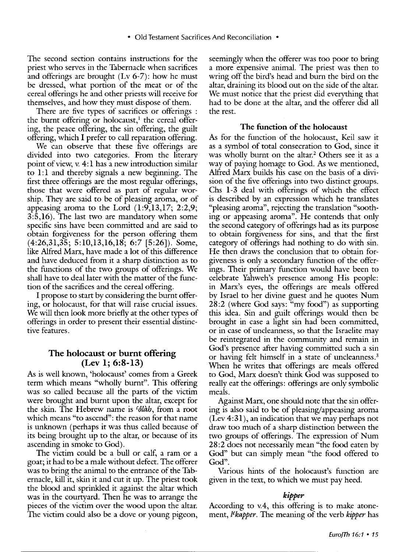The second section contains instructions for the priest who serves in the Tabernacle when sacrifices and offerings are brought (Lv 6-7): how he must be dressed, what portion of the meat or of the cereal offerings he and other priests will receive for themselves, and how they must dispose of them.

There are five types of sacrifices or offerings : the burnt offering or holocaust,<sup>1</sup> the cereal offering, the peace offering, the sin offering, the guilt offering, which I prefer to call reparation offering.

We can observe that these five offerings are divided into two categories. From the literary point of view, v. 4: 1 has a new introduction similar to 1:1 and thereby signals a new beginning. The first three offerings are the most regular offerings, those that were offered as part of regular worship. They are said to be of pleasing aroma, or of appeasing aroma to the Lord (1:9,13,17; 2:2,9; 3:5,16). The last two are mandatory when some specific sins have been committed and are said to obtain forgiveness for the person offering them (4:26,31,35; 5:10,13,16,18; 6:7 [5:26]). Some, like Alfred Marx, have made a lot of this difference and have deduced from it a sharp distinction as to the functions of the two groups of offerings. We shall have to deal later with the matter of the function of the sacrifices and the cereal offering.

I propose to start by considering the burnt offering, or holocaust, for that will raise crucial issues. We will then look more briefly at the other types of offerings in order to present their essential distinctive features.

# The holocaust or burnt offering (Lev 1; 6:8-13)

As is well known, 'holocaust' comes from a Greek term which means "wholly burnt''. This offering was so called because all the parts of the victim were brought and burnt upon the altar, except for the skin. The Hebrew name is *cotah,* from a root which means "to ascend": the reason for that name is unknown (perhaps it was thus called because of its being brought up to the altar, or because of its ascending in smoke to God).

The victim could be a bull or calf, a ram or a goat; it had to be a male without defect. The offerer was to bring the animal to the entrance of the Tabernacle, kill it, skin it and cut it up. The priest took the blood and sprinkled it against the altar which was in the courtyard. Then he was to arrange the pieces of the victim over the wood upon the altar. The victim could also be a dove or young pigeon, seemingly when the offerer was too poor to bring a more expensive animal. The priest was then to wring off the bird's head and burn the bird on the altar, draining its blood out on the side of the altar. We must notice that the priest did everything that had to be done at the altar, and the offerer did all the rest.

#### The function of the holocaust

As for the function of the holocaust, Keil saw it as a symbol of total consecration to God, since it was wholly burnt on the altar.<sup>2</sup> Others see it as a way of paying homage to God. As we mentioned, Alfred Marx builds his case on the basis of a division of the five offerings into two distinct groups. Chs 1-3 deal with offerings of which the effect is described by an expression which he translates "pleasing aroma", rejecting the translation "soothing or appeasing aroma". He contends that only the second category of offerings had as its purpose to obtain forgiveness for sins, and that the first category of offerings had nothing to do with sin. He then draws the conclusion that to obtain forgiveness is only a secondary function of the offerings. Their primary function would have been to celebrate Yahweh's presence among His people: in Marx's eyes, the offerings are meals offered by Israel to her divine guest and he quotes Num 28:2 (where God says: "my food") as supporting this idea. Sin and guilt offerings would then be brought in case a light sin had been committed, or in case of uncleanness, so that the Israelite may be reintegrated in the community and remain in God's presence after having committed such a sin or having felt himself in a state of uncleanness.<sup>3</sup> When he writes that offerings are meals offered to God, Marx doesn't think God was supposed to really eat the offerings: offerings are only symbolic meals.

Against Marx, one should note that the sin offering is also said to be of pleasing/appeasing aroma (Lev 4:31), an indication that we may perhaps not draw too much of a sharp distinction between the two groups of offerings. The expression of Num 28:2 does not necessarily mean "the food eaten by God" but can simply mean "the food offered to God".

Various hints of the holocaust's function are given in the text, to which we must pay heed.

#### *kipper*

According to v.4, this offering is to make atonement, *tekapper.* The meaning of the verb *kipper* has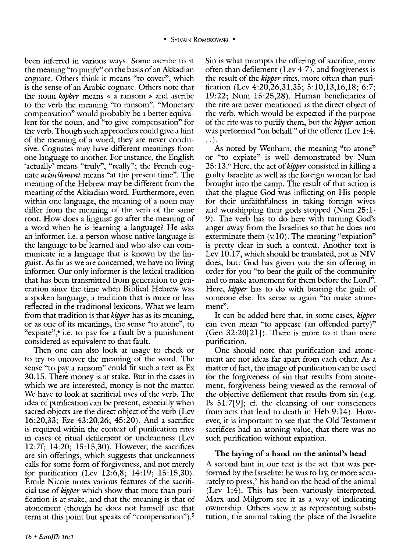been inferred in various ways. Some ascribe to it the meaning "to purity" on the basis of an Akkadian cognate. Others think it means "to cover", which is the sense of an Arabic cognate. Others note that the noun *kopher* means « a ransom » and ascribe to the verb the meaning "to ransom". "Monetary compensation" would probably be a better equivalent for the noun, and "to give compensation" for the verb. Though such approaches could give a hint of the meaning of a word, they are never conclusive. Cognates may have different meanings from one language to another. For instance, the English 'actually' means "truly", "really"; the French cognate *actuellement* means "at the present time". The meaning of the Hebrew may be different from the meaning of the Akkadian word. Furthermore, even within one language, the meaning of a noun may differ from the meaning of the verb of the same root. How does a linguist go after the meaning of a word when he is learning a language? He asks an informer, i.e. a person whose native language is the language to be learned and who also can communicate in a language that is known by the linguist. As far as we are concerned, we have no living informer. Our only informer is the lexical tradition that has been transmitted from generation to generation since the time when Biblical Hebrew was a spoken language, a tradition that is more or less reflected in the traditional lexicons. What we learn from that tradition is that *kipper* has as its meaning, or as one of its meanings, the sense "to atone", to "expiate", $4$  i.e. to pay for a fault by a punishment considered as equivalent to that fault.

Then one can also look at usage to check or to try to uncover the meaning of the word. The sense "to pay a ransom" could fit such a text as Ex 30.15. There money is at stake. But in the cases in which we are interested, money is not the matter. We have to look at sacrificial uses of the verb. The idea of purification can be present, especially when sacred objects are the direct object of the verb (Lev 16:20,33; Eze 43:20,26; 45:20). And a sacrifice is required within the context of purification rites in cases of ritual defilement or uncleanness (Lev 12:7f; 14:20; 15:15,30). However, the sacrifices are sin offerings, which suggests that uncleanness calls for some form of forgiveness, and not merely for purification (Lev  $12:6,8; 14:19; 15:15,30$ ). Emile Nicole notes various features of the sacrificial use of *kipper* which show that more than purification is at stake, and that the meaning is that of atonement (though he does not himself use that term at this point but speaks of "compensation").<sup>5</sup>

Sin is what prompts the offering of sacrifice, more often than defilement (Lev 4-7), and forgiveness is the result of the *kipper* rites, more often than purification (Lev 4:20,26,31,35; 5:10,13,16,18; 6:7; 19:22; Num 15:25,28). Human beneficiaries of the rite are never mentioned as the direct object of the verb, which would be expected if the purpose of the rite was to purity them, but the *kipper* action was performed "on behalf" of the offerer (Lev 1:4.  $\ldots$ .

As noted by Wenham, the meaning "to atone" or "to expiate" is well demonstrated by Num 25:13.6 Here, the act of *kipper* consisted in killing a guilty Israelite as well as the foreign woman he had brought into the camp. The result of that action is that the plague God was inflicting on His people for their unfaithfulness in taking foreign wives and worshipping their gods stopped (Num 25:1- 9). The verb has to do here with turning God's anger away from the Israelites so that he does not exterminate them (v.10). The meaning "expiation" is pretty clear in such a context. Another text is Lev 10.17, which should be translated, not as NIV does, but: God has given you the sin offering in order for you "to bear the guilt of the community and to make atonement for them before the Lord". Here, *kipper* has to do with bearing the guilt of someone else. Its sense is again "to make atonement''.

It can be added here that, in some cases, *kipper*  can even mean "to appease (an offended party)" (Gen  $32:20[21]$ ). There is more to it than mere purification.

One should note that purification and atonement are not ideas far apart from each other. As a matter of fact, the image of purification can be used for the forgiveness of sin that results from atonement, forgiveness being viewed as the removal of the objective defilement that results from sin (e.g. Ps 51.7[9]; cf. the cleansing of our consciences from acts that lead to death in Heb 9:14). However, it is important to see that the Old Testament sacrifices had an atoning value, that there was no such purification without expiation.

# The laying of a hand on the animal's head

A second hint in our text is the act that was performed by the Israelite: he was to lay, or more accurately to press,<sup>7</sup> his hand on the head of the animal (Lev 1:4). This has been variously interpreted. Marx and Milgrom see it as a way of indicating ownership. Others view it as representing substitution, the animal taking the place of the Israelite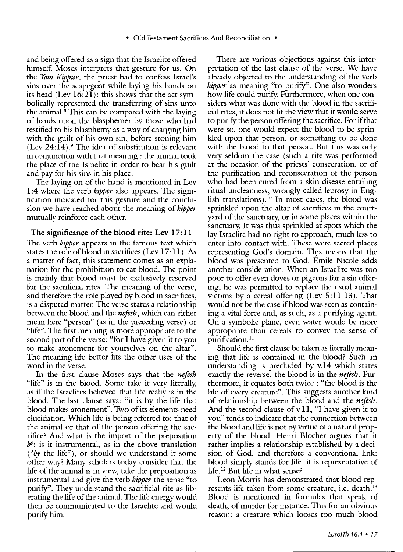and being offered as a sign that the Israelite offered himself. Moses interprets that gesture for us. On the *Yom Kippur,* the priest had to confess Israel's sins over the scapegoat while laying his hands on its head (Lev  $16:21$ ): this shows that the act symbolically represented the transferring of sins unto the animal. ${}^{8}$  This can be compared with the laying of hands upon the blasphemer by those who had testified to his blasphemy as a way of charging him with the guilt of his own sin, before stoning him  $(Lev 24:14).<sup>9</sup>$  The idea of substitution is relevant in conjunction with that meaning : the animal took the place of the Israelite in order to bear his guilt and pay for his sins in his place.

The laying on of the hand is mentioned in Lev 1:4 where the verb *kipper* also appears. The signification indicated for this gesture and the conclusion we have reached about the meaning of *kipper*  mutually reinforce each other.

## The significance of the blood rite: Lev 17:11

The verb *kipper* appears in the famous text which states the role of blood in sacrifices (Lev 17:11). As a matter of fact, this statement comes as an explanation for the prohibition to eat blood. The point is mainly that blood must be exclusively reserved for the sacrificial rites. The meaning of the verse, and therefore the role played by blood in sacrifices, is a disputed matter. The verse states a relationship between the blood and the *nefesh,* which can either mean here "person" (as in the preceding verse) or "life". The first meaning is more appropriate to the second part of the verse: "for I have given it to you to make atonement for yourselves on the altar". The meaning life better fits the other uses of the word in the verse.

In the first clause Moses says that the *nefesh*  "life" is in the blood. Some take it very literally, as if the Israelites believed that life really is in the blood. The last clause says: "it is by the life that blood makes atonement". Two of its elements need elucidation. Which life is being referred to: that of the animal or that of the person offering the sacrifice? And what is the import of the preposition  $b^{\ell}$ : is it instrumental, as in the above translation *("by* the life"), or should we understand it some other way? Many scholars today consider that the life of the animal is in view, take the preposition as instrumental and give the verb *kipper* the sense "to purify". They understand the sacrificial rite as liberating the life of the animal. The life energy would then be communicated to the Israelite and would purify him.

There are various objections against this interpretation of the last clause of the verse. We have already objected to the understanding of the verb *kipper* as meaning "to purify". One also wonders how life could purify. Furthermore, when one considers what was done with the blood in the sacrificial rites, it does not fit the view that it would serve to purify the person offering the sacrifice. For if that were so, one would expect the blood to be sprinkled upon that person, or something to be done with the blood to that person. But this was only very seldom the case (such a rite was performed at the occasion of the priests' consecration, or of the purification and reconsecration of the person who had been cured from a skin disease entailing ritual uncleanness, wrongly called leprosy in English translations).<sup>10</sup> In most cases, the blood was sprinkled upon the altar of sacrifices in the courtyard of the sanctuary; or in some places within the sanctuary. It was thus sprinkled at spots which the lay Israelite had no right to approach, much less to enter into contact with. These were sacred places representing God's domain. This means that the blood was presented to God. Emile Nicole adds another consideration. When an Israelite was too poor to offer even doves or pigeons for a sin offering, he was permitted to replace the usual animal victims by a cereal offering  $(Lev 5:11-13)$ . That would not be the case if blood was seen as containing a vital force and, as such, as a purifying agent. On a symbolic plane, even water would be more appropriate than cereals to convey the sense of purification.<sup>11</sup>

Should the first clause be taken as literally meaning that life is contained in the blood? Such an understanding is precluded by v.14 which states exactly the reverse: the blood is in the *nefesh.* Furthermore, it equates both twice : "the blood is the life of every creature". This suggests another kind of relationship between the blood and the *nefesh.*  And the second clause of v.11, "I have given it to you" tends to indicate that the connection between the blood and life is not by virtue of a natural property of the blood. Henri Blocher argues that it rather implies a relationship established by a decision of God, and therefore a conventional link: blood simply stands for life, it is representative of life. 12 But life in what sense?

Leon Morris has demonstrated that blood represents life taken from some creature, i.e. death.<sup>13</sup> Blood is mentioned in formulas that speak of death, of murder for instance. This for an obvious reason: a creature which looses too much blood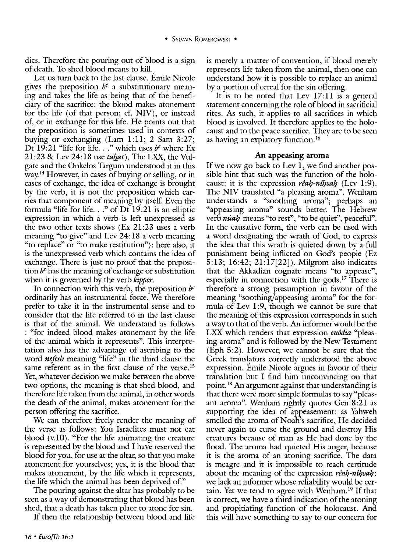dies. Therefore the pouring out of blood is a sign of death. To shed blood means to kill.

Let us turn back to the last clause. Emile Nicole gives the preposition  $b^{\varepsilon}$  a substitutionary meaning and takes the life as being that of the beneficiary of the sacrifice: the blood makes atonement for the life (of that person; cf. NIV), or instead of, or in exchange for this life. He points out that the preposition is sometimes used in contexts of buying or exchanging (Lam 1:11; 2 Sam 3:27; Dt 19:21 "life for life ... "which uses *be* where Ex 21:23 & Lev 24:18 use *tahat*). The LXX, the Vulgate and the Onkelos Targum understood it in this way 14 However, in cases of buying or selling, or in cases of exchange, the idea of exchange is brought by the verb, it is not the preposition which carries that component of meaning by itself. Even the formula "life for life ... "of Dt 19:21 is an elliptic expression in which a verb is left unexpressed as the two other texts shows (Ex 21:23 uses a verb meaning "to give" and Lev 24: 18 a verb meaning "to replace" or "to make restitution"): here also, it is the unexpressed verb which contains the idea of exchange. There is just no proof that the preposition  $b^e$  has the meaning of exchange or substitution when it is governed by the verb *kipper.* 

In connection with this verb, the preposition *be*  ordinarily has an instrumental force. We therefore prefer to take it in the instrumental sense and to consider that the life referred to in the last clause is that of the animal. We understand as follows : "for indeed blood makes atonement by the life of the animal which it represents". This interpretation also has the advantage of ascribing to the word *nefesh* meaning "life" in the third clause the same referent as in the first clause of the verse.<sup>15</sup> Yet, whatever decision we make between the above two options, the meaning is that shed blood, and therefore life taken from the animal, in other words the death of the animal, makes atonement for the person offering the sacrifice.

We can therefore freely render the meaning of the verse as follows: You Israelites must not eat blood (v.lO). "For the life animating the creature is represented by the blood and I have reserved the blood for you, for use at the altar, so that you make atonement for yourselves; yes, it is the blood that makes atonement, by the life which it represents, the life which the animal has been deprived of."

The pouring against the altar has probably to be seen as a way of demonstrating that blood has been shed, that a death has taken place to atone for sin.

If then the relationship between blood and life

It is to be noted that Lev 17:11 is a general statement concerning the role of blood in sacrificial rites. As such, it applies to all sacrifices in which blood is involved. It therefore applies to the holocaust and to the peace sacrifice. They are to be seen as having an expiatory function.<sup>16</sup>

# An appeasing aroma

If we now go back to Lev 1, we find another possible hint that such was the function of the holocaust: it is the expression *rêah-nîhoah* (Lev 1:9). The NIV translated "a pleasing aroma". Wenham understands a "soothing aroma"; perhaps an "appeasing aroma" sounds better. The Hebrew verb *nuah* means "to rest", "to be quiet", peaceful". In the causative form, the verb can be used with a word designating the wrath of God, to express the idea that this wrath is quieted down by a full punishment being inflicted on God's people (Ez 5: 13; 16:42; 21: 17[22]). Milgrom also indicates that the Akkadian cognate means "to appease", especially in connection with the gods.<sup>17</sup> There is therefore a strong presumption in favour of the meaning "soothing/appeasing aroma" for the formula of Lev 1:9, though we cannot be sure that the meaning of this expression corresponds in such a way to that of the verb. An informer would be the LXX which renders that expression *euddia* "pleasing aroma" and is followed by the New Testament (Eph 5:2). However, we cannot be sure that the Greek translators correctly understood the above expression. Emile Nicole argues in favour of their translation but I find him unconvincing on that point. 18 An argument against that understanding is that there were more simple formulas to say "pleasant aroma". Wenham rightly quotes Gen 8:21 as supporting the idea of appeasement: as Yahweh smelled the aroma of Noah's sacrifice, He decided never again to curse the ground and destroy His creatures because of man as He had done by the flood. The aroma had quieted His anger, because it is the aroma of an atoning sacrifice. The data is meagre and it is impossible to reach certitude about the meaning of the expression *réah-nihoah*: we lack an informer whose reliability would be certain. Yet we tend to agree with Wenham. 19 If that is correct, we have a third indication of the atoning and propitiating function of the holocaust. And this will have something to say to our concern for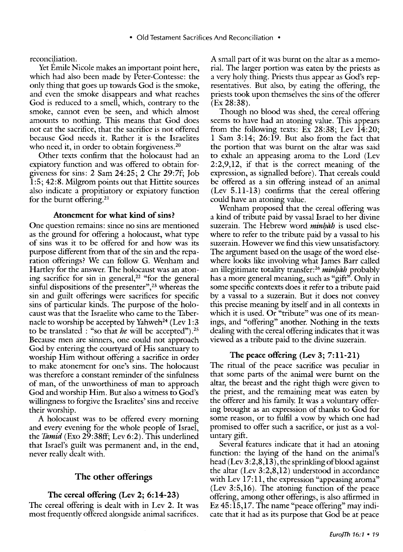• Old Testament Sacrifices And Reconciliation •

reconciliation.

Yet Emile Nicole makes an important point here, which had also been made by Peter-Contesse: the only thing that goes up towards God is the smoke, and even the smoke disappears and what reaches God is reduced to a smell, which, contrary to the smoke, cannot even be seen, and which almost amounts to nothing. This means that God does not eat the sacrifice, that the sacrifice is not offered because God needs it. Rather it is the Israelites who need it, in order to obtain forgiveness.<sup>20</sup>

Other texts confirm that the holocaust had an expiatory function and was offered to obtain forgiveness for sins: 2 Sam 24:25; 2 Chr 29:7f; Job 1:5; 42:8. Milgrom points out that Hittite sources also indicate a propitiatory or expiatory function for the burnt offering.<sup>21</sup>

### Atonement for what kind of sins?

One question remains: since no sins are mentioned as the ground for offering a holocaust, what type of sins was it to be offered for and how was its purpose different from that of the sin and the reparation offerings? We can follow G. Wenham and Hartley for the answer. The holocaust was an atoning sacrifice for sin in general,<sup>22</sup> "for the general sinful dispositions of the presenter",<sup>23</sup> whereas the sin and guilt offerings were sacrifices for specific sins of particular kinds. The purpose of the holocaust was that the Israelite who came to the Tabernacle to worship be accepted by Yahweh<sup>24</sup> (Lev  $1:3$ to be translated : "so that *he* will be accepted"). 25 Because men are sinners, one could not approach God by entering the courtyard of His sanctuary to worship Him without offering a sacrifice in order to make atonement for one's sins. The holocaust was therefore a constant reminder of the sinfulness of man, of the unworthiness of man to approach God and worship Him. But also a witness to God's willingness to forgive the Israelites' sins and receive their worship.

A holocaust was to be offered every morning and every evening for the whole people of Israel, the *Tamid* (Exo 29:38ff; Lev 6:2). This underlined that Israel's guilt was permanent and, in the end, never really dealt with.

# The other offerings

# The cereal offering (Lev 2; 6:14-23)

The cereal offering is dealt with in Lev 2. It was most frequently offered alongside animal sacrifices.

A small part of it was burnt on the altar as a memorial. The larger portion was eaten by the priests as a very holy thing. Priests thus appear as God's representatives. But also, by eating the offering, the priests took upon themselves the sins of the offerer (Ex 28:38).

Though no blood was shed, the cereal offering seems to have had an atoning value. This appears from the following texts: Ex 28:38; Lev 14:20; 1 Sam 3:14; 26:19. But also from the fact that the portion that was burnt on the altar was said to exhale an appeasing aroma to the Lord (Lev 2:2,9,12, if that is the correct meaning of the expression, as signalled before). That cereals could be offered as a sin offering instead of an animal (Lev 5.11-13) confirms that the cereal offering could have an atoning value.

Wenham proposed that the cereal offering was a kind of tribute paid by vassal Israel to her divine suzerain. The Hebrew word *minhah* is used elsewhere to refer to the tribute paid by a vassal to his suzerain. However we find this view unsatisfactory. The argument based on the usage of the word elsewhere looks like involving what James Barr called an illegitimate totality transfer: $26$  minhah probably has a more general meaning, such as "gift". Only in some specific contexts does it refer to a tribute paid by a vassal to a suzerain. But it does not convey this precise meaning by itself and in all contexts in which it is used. Or "tribute" was one of its meanings, and "offering" another. Nothing in the texts dealing with the cereal offering indicates that it was viewed as a tribute paid to the divine suzerain.

# The peace offering (Lev 3; 7:11-21)

The ritual of the peace sacrifice was peculiar in that some parts of the animal were burnt on the altar, the breast and the right thigh were given to the priest, and the remaining meat was eaten by the offerer and his family. It was a voluntary offering brought as an expression of thanks to God for some reason, or to fulfil a vow by which one had promised to offer such a sacrifice, or just as a voluntary gift.

Several features indicate that it had an atoning function: the laying of the hand on the animal's head (Lev  $3:2,8,13$ ), the sprinkling of blood against the altar (Lev 3:2,8,12) understood in accordance with Lev 17:11, the expression "appeasing aroma" (Lev 3:5,16). The atoning function of the peace offering, among other offerings, is also affirmed in  $Ez$  45:15,17. The name "peace offering" may indicate that it had as its purpose that God be at peace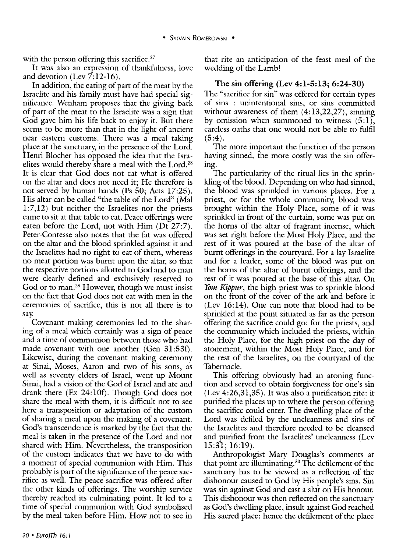with the person offering this sacrifice.<sup>27</sup>

It was also an expression of thankfulness, love and devotion (Lev  $\overline{7:12-16}$ ).

In addition, the eating of part of the meat by the Israelite and his family must have had special significance. Wenham proposes that the giving back of part of the meat to the Israelite was a sign that God gave him his life back to enjoy it. But there seems to be more than that in the light of ancient near eastern customs. There was a meal taking place at the sanctuary, in the presence of the Lord. Henri Blocher has opposed the idea that the Israelites would thereby share a meal with the Lord.<sup>28</sup> It is clear that God does not eat what is offered on the altar and does not need it; He therefore is not served by human hands (Ps 50; Acts 17:25). His altar can be called "the table of the Lord" (Mal 1:7,12) but neither the Israelites nor the priests came to sit at that table to eat. Peace offerings were eaten before the Lord, not with Him (Dt 27:7). Peter-Contesse also notes that the fat was offered on the altar and the blood sprinkled against it and the Israelites had no right to eat of them, whereas no meat portion was burnt upon the altar, so that the respective portions allotted to God and to man were clearly defined and exclusively reserved to God or to man.<sup>29</sup> However, though we must insist on the fact that God does not eat with men in the ceremonies of sacrifice, this is not all there is to say.

Covenant making ceremonies led to the sharing of a meal which certainly was a sign of peace and a time of communion between those who had made covenant with one another (Gen 31:53f). Likewise, during the covenant making ceremony at Sinai, Moses, Aaron and two of his sons, as well as seventy elders of Israel, went up Mount Sinai, had a vision of the God of Israel and ate and drank there (Ex 24:10f). Though God does not share the meal with them, it is difficult not to see here a transposition or adaptation of the custom of sharing a meal upon the making of a covenant. God's transcendence is marked by the fact that the meal is taken in the presence of the Lord and not shared with Him. Nevertheless, the transposition of the custom indicates that we have to do with a moment of special communion with Him. This probably is part of the significance of the peace sacrifice as well. The peace sacrifice was offered after the other kinds of offerings. The worship service thereby reached its culminating point. It led to a time of special communion with God symbolised by the meal taken before Him. How not to see in that rite an anticipation of the feast meal of the wedding of the Lamb!

# The sin offering (Lev 4:1-5:13; 6:24-30)

The "sacrifice for sin" was offered for certain types of sins : unintentional sins, or sins committed without awareness of them  $(4:13,22,27)$ , sinning by omission when summoned to witness  $(5:1)$ , careless oaths that one would not be able to fulfil  $(5:4)$ .

The more important the function of the person having sinned, the more costly was the sin offermg.

The particularity of the ritual lies in the sprinkling of the blood. Depending on who had sinned, the blood was sprinkled in various places. For a priest, or for the whole community, blood was brought within the Holy Place, some of it was sprinkled in front of the curtain, some was put on the horns of the altar of fragrant incense, which was set right before the Most Holy Place, and the rest of it was poured at the base of the altar of burnt offerings in the courtyard. For a lay Israelite and for a leader, some of the blood was put on the horns of the altar of burnt offerings, and the rest of it was poured at the base of this altar. On *Yom Kippur,* the high priest was to sprinkle blood on the front of the cover of the ark and before it (Lev 16:14). One can note that blood had to be sprinkled at the point situated as far as the person offering the sacrifice could go: for the priests, and the community which included the priests, within the Holy Place, for the high priest on the day of atonement, within the Most Holy Place, and for the rest of the Israelites, on the courtyard of the Tabernacle.

This offering obviously had an atoning function and served to obtain forgiveness for one's sin  $(Lev 4:26,31,35)$ . It was also a purification rite: it purified the places up to where the person offering the sacrifice could enter. The dwelling place of the Lord was defiled by the uncleanness and sins of the Israelites and therefore needed to be cleansed and purified from the Israelites' uncleanness (Lev 15:31; 16:19).

Anthropologist Mary Douglas's comments at that point are illuminating. 30 The defilement of the sanctuary has to be viewed as a reflection of the dishonour caused to God by His people's sins. Sin was sin against God and cast a slur on His honour. This dishonour was then reflected on the sanctuary as God's dwelling place, insult against God reached His sacred place: hence the defilement of the place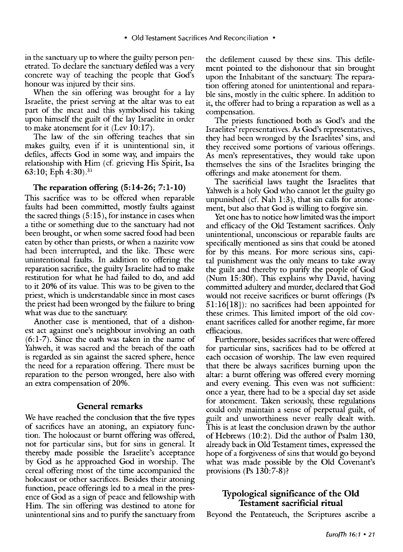in the sanctuary up to where the guilty person penetrated. To declare the sanctuary defiled was a very concrete way of teaching the people that God's honour was injured by their sins.

When the sin offering was brought for a lay Israelite, the priest serving at the altar was to eat part of the meat and this symbolised his taking upon himself the guilt of the lay Israelite in order to make atonement for it (Lev 10:17).

The law of the sin offering teaches that sin makes guilty, even if it is unintentional sin, it defiles, affects God in some way; and impairs the relationship with Him (cf. grieving His Spirit, Isa 63:10; Eph  $4:30$ .  $31$ 

#### The reparation offering (5:14-26; 7:1-10)

This sacrifice was to be offered when reparable faults had been committed, mostly faults against the sacred things  $(5:15)$ , for instance in cases when a tithe or something due to the sanctuary had not been brought, or when some sacred food had been eaten by other than priests, or when a nazirite vow had been interrupted, and the like. These were unintentional faults. In addition to offering the reparation sacrifice, the guilty Israelite had to make restitution for what he had failed to do, and add to it 20% of its value. This was to be given to the priest, which is understandable since in most cases the priest had been wronged by the failure to bring what was due to the sanctuary.

Another case is mentioned, that of a dishonest act against one's neighbour involving an oath (6:1-7). Since the oath was taken in the name of Yahweh, it was sacred and the breach of the oath is regarded as sin against the sacred sphere, hence the need for a reparation offering. There must be reparation to the person wronged, here also with an extra compensation of 20%.

## General remarks

We have reached the conclusion that the five types of sacrifices have an atoning, an expiatory function. The holocaust or burnt offering was offered, not for particular sins, but for sins in general. It thereby made possible the Israelite's acceptance by God as he approached God in worship. The cereal offering most of the time accompanied the holocaust or other sacrifices. Besides their atoning function, peace offerings led to a meal in the presence of God as a sign of peace and fellowship with Him. The sin offering was destined to atone for unintentional sins and to purify the sanctuary from

the defilement caused by these sins. This defilement pointed to the dishonour that sin brought upon the Inhabitant of the sanctuary. The reparation offering atoned for unintentional and reparable sins, mostly in the cultic sphere. In addition to it, the offerer had to bring a reparation as well as a compensation.

The priests functioned both as God's and the Israelites' representatives. As God's representatives, they had been wronged by the Israelites' sins, and they received some portions of various offerings. As men's representatives, they would take upon themselves the sins of the Israelites bringing the offerings and make atonement for them.

The sacrificial laws taught the Israelites that Yahweh is a holy God who cannot let the guilty go unpunished (cf. Nah 1:3), that sin calls for atonement, but also that God is willing to forgive sin.

Yet one has to notice how limited was the import and efficacy of the Old Testament sacrifices. Only unintentional, unconscious or reparable faults are specifically mentioned as sins that could be atoned for by this means. For more serious sins, capital punishment was the only means to take away the guilt and thereby to purify the people of God (Num 15:30f). This explains why David, having committed adultery and murder, declared that God would not receive sacrifices or burnt offerings (Ps 51:16[18]): no sacrifices had been appointed for these crimes. This limited import of the old covenant sacrifices called for another regime, far more efficacious.

Furthermore, besides sacrifices that were offered for particular sins, sacrifices had to be offered at each occasion of worship. The law even required that there be always sacrifices burning upon the altar: a burnt offering was offered every morning and every evening. This even was not sufficient: once a year, there had to be a special day set aside for atonement. Taken seriously; these regulations could only maintain a sense of perpetual guilt, of guilt and unworthiness never really dealt with. This is at least the conclusion drawn by the author of Hebrews (10:2). Did the author of Psalm 130, already back in Old Testament times, expressed the hope of a forgiveness of sins that would go beyond what was made possible by the Old Covenant's provisions (Ps  $130:7-8$ )?

# Typological significance of the **Old**  Testament sacrificial ritual

Beyond the Pentateuch, the Scriptures ascribe a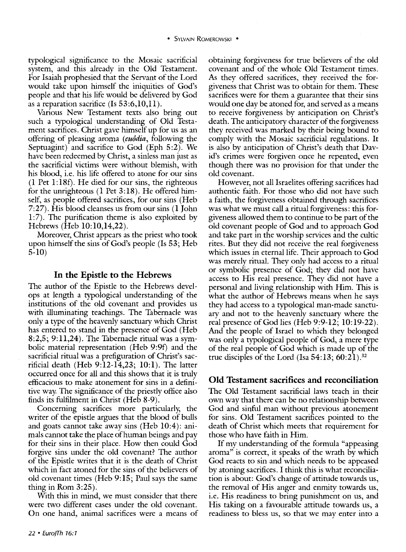typological significance to the Mosaic sacrificial system, and this already in the Old Testament. For Isaiah prophesied that the Servant of the Lord would take upon himself the iniquities of God's people and that his life would be delivered by God as a reparation sacrifice (Is  $53:6,10,11$ ).

Various New Testament texts also bring out such a typological understanding of Old Testament sacrifices. Christ gave himself up for us as an offering of pleasing aroma *(eundia,* following the Septuagint) and sacrifice to God (Eph 5:2). We have been redeemed by Christ, a sinless man just as the sacrificial victims were without blemish, with his blood, i.e. his life offered to atone for our sins  $(1$  Pet  $1:18f$ ). He died for our sins, the righteous for the unrighteous (1 Pet 3:18). He offered himself, as people offered sacrifices, for our sins (Heb 7:27). His blood cleanses us from our sins (1 John 1:7). The purification theme is also exploited by Hebrews (Heb 10:10,14,22).

Moreover, Christ appears as the priest who took upon himself the sins of God's people (Is 53; Heb 5-10)

## In the Epistle to the Hebrews

The author of the Epistle to the Hebrews develops at length a typological understanding of the institutions of the old covenant and provides us with illuminating teachings. The Tabernacle was only a type of the heavenly sanctuary which Christ has entered to stand in the presence of God (Heb 8:2,5; 9:11,24). The Tabernacle ritual was a symbolic material representation (Heb 9:9f) and the sacrificial ritual was a prefiguration of Christ's sacrificial death (Heb 9:12-14,23; 10:1). The latter occurred once for all and this shows that it is tmly efficacious to make atonement for sins in a definitive way. The significance of the priestly office also finds its fulfilment in Christ (Heb 8-9).

Concerning sacrifices more particularly, the writer of the epistle argues that the blood of bulls and goats cannot take away sins (Heb 10:4): animals cannot take the place of human beings and pay for their sins in their place. How then could God forgive sins under the old covenant? The author of the Epistle writes that it is the death of Christ which in fact atoned for the sins of the believers of old covenant times (Heb 9:15; Paul says the same thing in Rom 3:25).

With this in mind, we must consider that there were two different cases under the old covenant. On one hand, animal sacrifices were a means of obtaining forgiveness for tme believers of the old covenant and of the whole Old Testament times. As they offered sacrifices, they received the forgiveness that Christ was to obtain for them. These sacrifices were for them a guarantee that their sins would one day be atoned for, and served as a means to receive forgiveness by anticipation on Christ's death. The anticipatory character of the forgiveness they received was marked by their being bound to comply with the Mosaic sacrificial regulations. It is also by anticipation of Christ's death that David's crimes were forgiven once he repented, even though there was no provision for that under the old covenant.

However, not all Israelites offering sacrifices had authentic faith. For those who did not have such a faith, the forgiveness obtained through sacrifices was what we must call a ritual forgiveness: this forgiveness allowed them to continue to be part of the old covenant people of God and to approach God and take part in the worship services and the cultic rites. But they did not receive the real forgiveness which issues in eternal life. Their approach to God was merely ritual. They only had access to a ritual or symbolic presence of God; they did not have access to His real presence. They did not have a personal and living relationship with Him. This is what the author of Hebrews means when he says they had access to a typological man-made sanctuary and not to the heavenly sanctuary where the real presence of God lies (Heb 9:9-12; 10:19-22). And the people of Israel to which they belonged was only a typological people of God, a mere type of the real people of God which is made up of the true disciples of the Lord (Isa  $54:13$ ;  $60:21$ ).<sup>32</sup>

# Old Testament sacrifices and reconciliation

The Old Testament sacrificial laws teach in their own way that there can be no relationship between God and sinful man without previous atonement for sins. Old Testament sacrifices pointed to the death of Christ which meets that requirement for those who have faith in Him.

If my tmderstanding of the formula "appeasing aroma" is correct, it speaks of the wrath by which God reacts to sin and which needs to be appeased by atoning sacrifices. I think this is what reconciliation is about: God's change of attitude towards us, the removal of His anger and enmity towards us, i.e. His readiness to bring punishment on us, and His taking on a favourable attitude towards us, a readiness to bless us, so that we may enter into a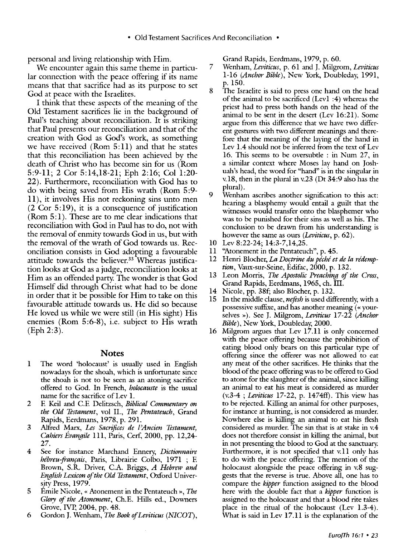personal and living relationship with Him.

We encounter again this same theme in particular connection with the peace offering if its name means that that sacrifice had as its purpose to set God at peace with the Israelites.

I think that these aspects of the meaning of the Old Testament sacrifices lie in the background of Paul's teaching about reconciliation. It is striking that Paul presents our reconciliation and that of the creation with God as God's work, as something we have received (Rom  $5:11$ ) and that he states that this reconciliation has been achieved by the death of Christ who has become sin for us (Rom 5:9-ll; 2 Cor 5:14,18-21; Eph 2:16; Col 1:20- 22). Furthermore, reconciliation with God has to do with being saved from His wrath (Rom 5:9ll ), it involves His not reckoning sins unto men (2 Cor 5:19), it is a consequence of justification  $(Rom 5:1)$ . These are to me clear indications that reconciliation with God in Paul has to do, not with the removal of enmity towards God in us, but with the removal of the wrath of God towards us. Reconciliation consists in God adopting a favourable attitude towards the believer.<sup>33</sup> Whereas justification looks at God as a judge, reconciliation looks at Him as an offended party. The wonder is that God Himself did through Christ what had to be done in order that it be possible for Him to take on this favourable attitude towards us. He did so because He loved us while we were still (in His sight) His enemies (Rom  $5:6-8$ ), i.e. subject to His wrath (Eph 2:3).

#### **Notes**

- 1 The word 'holocaust' is usually used in English nowadays for the shoah, which is unfortunate since the shoah is not to be seen as an atoning sacrifice offered to God. In French, *holocauste* is the usual name for the sacrifice of Lev l.
- 2 E Keil and C.E Delitzsch, *Biblical Commentary on the Old Testament,* vol II., *The Pentateuch,* Grand Rapids, Eerdmans, 1978, p. 291.
- 3 Alfred Marx, *Les Sacrifices de l'Ancien Testament*, *Cahiers Evangile* 111, Paris, Cerf, 2000, pp. 12,24- 27.
- 4 See for instance Marchand Ennery, *Dictionnaire hebreu-franyais,* Paris, Librairie Colbo, 1971 ; E Brown, S.R. Driver, C.A. Briggs, *A Hebrew and English Lexicon of the Old Testament,* Oxford University Press, 1979.
- 5 Emile Nicole, « Atonement in the Pentateuch », *The Glory of the Atonement,* Ch.E. Hills ed., Downers Grove, IVP, 2004, pp. 48.
- 6 Gordon J. Wenham, *The Book of Leviticus* (NICOT),

Grand Rapids, Eerdmans, 1979, p. 60.

- 7 Wenham, *Leviticus,* p. 61 and J. Milgrom, *Leviticus*  1-16 *(Anchor Bible)*, New York, Doubleday, 1991, p. 150.
- 8 The Israelite is said to press one hand on the head of the animal to be sacrificed (Lev1 :4) whereas the priest had to press both hands on the head of the animal to be sent in the desert (Lev 16:21). Some argue from this difference that we have two different gestures with two different meanings and therefore that the meaning of the laying of the hand in Lev 1.4 should not be inferred from the text of Lev 16. This seems to be oversubtle : in Num 27, in a similar context where Moses lay hand on Joshuah's head, the word for "hand" is in the singular in v.18, then in the plural in v.23 (Dt 34:9 also has the plural).
- 9 Wenham ascribes another signification to this act: hearing a blasphemy would entail a guilt that the witnesses would transfer onto the blasphemer who was to be punished for their sins as well as his. The conclusion to be drawn from his understanding is however the same as ours *(Leviticus,* p. 62).
- 10 Lev 8:22-24; 14:3-7,14,25.
- 11 "Atonement in the Pentateuch", p. 45.
- 12 Henri Blocher, *La Doctrine du péché et de la rédemption,* Vaux-sur-Seine, Edifac, 2000, p. 132.
- 13 Leon Morris, *The Apostolic Preaching of the Cross,*  Grand Rapids, Eerdmans, 1965, eh. Ill.
- 14 Nicole, pp. 38f; also Blocher, p. 132.
- 15 In the middle clause, *neftsh* is used differently, with a possessive suffixe, and has another meaning (« yourselves >>). See J. Milgrom, *Leviticus* 17-22 *(Anchor Bible),* New York, Doubleday, 2000.
- 16 Milgrom argues that Lev 17.11 is only concerned with the peace offering because the prohibition of eating blood only bears on this particular type of offering since the offerer was not allowed to eat any meat of the other sacrifices. He thinks that the blood of the peace offering was to be offered to God to atone for the slaughter of the animal, since killing an animal to eat his meat is considered as murder (v.3-4 ; *Leviticus* 17-22, p. 1474fl). This view has to be rejected. Killing an animal for other purposes, for instance at hunting, is not considered as murder. Nowhere else is killing an animal to eat his flesh considered as murder. The sin that is at stake in v.4 does not therefore consist in killing the animal, but in not presenting the blood to God at the sanctuary. Furthermore, it is not specified that v.11 only has to do with the peace offering. The mention of the holocaust alongside the peace offering in v.8 suggests that the reverse is true. Above all, one has to compare the *kipper* function assigned to the blood here with the double fact that a *kipper* function is assigned to the holocaust and that a blood rite takes place in the ritual of the holocaust (Lev 1.3-4). What is said in Lev 17.11 is the explanation of the